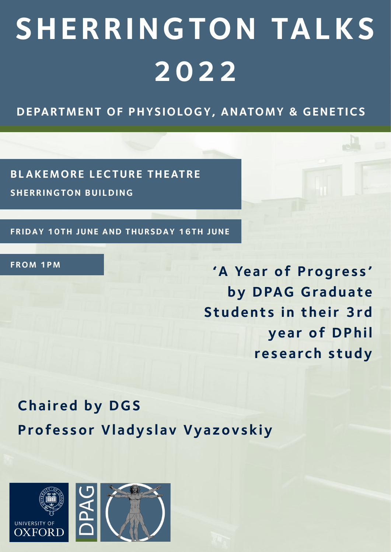# **SHERRINGTON TALKS 2022**

**DEPARTMENT OF PHYSIOLOGY, ANATOMY & GENE TICS**

**BLAKEMORE LECTURE THEATRE SHERRINGTON BUILDING**

**FRIDAY 10TH JUNE AND THURSDAY 16TH JUNE**

**FROM 1PM**

**'A Year of Progress' by DPAG Graduate Students in their 3rd year of DPhil research study**

**Chaired by DGS Professor Vladyslav Vyazovskiy**

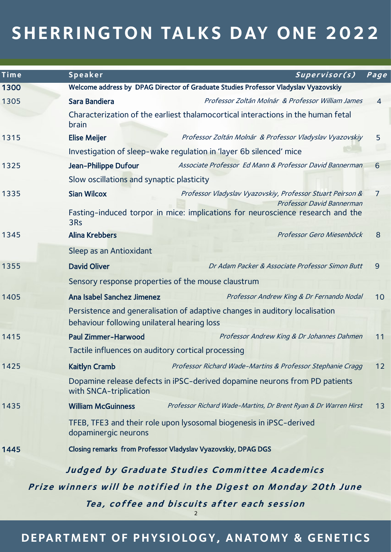| <b>Time</b>                                                      | Speaker                                                                                                                    | Supervisor(s)                                                   | Page           |  |
|------------------------------------------------------------------|----------------------------------------------------------------------------------------------------------------------------|-----------------------------------------------------------------|----------------|--|
| 1300                                                             | Welcome address by DPAG Director of Graduate Studies Professor Vladyslav Vyazovskiy                                        |                                                                 |                |  |
| 1305                                                             | Sara Bandiera                                                                                                              | Professor Zoltán Molnár & Professor William James               | $\overline{4}$ |  |
|                                                                  | Characterization of the earliest thalamocortical interactions in the human fetal<br>brain                                  |                                                                 |                |  |
| 1315                                                             | <b>Elise Meijer</b>                                                                                                        | Professor Zoltán Molnár & Professor Vladyslav Vyazovskiy        | 5              |  |
|                                                                  | Investigation of sleep-wake regulation in 'layer 6b silenced' mice                                                         |                                                                 |                |  |
| 1325                                                             | Jean-Philippe Dufour                                                                                                       | Associate Professor Ed Mann & Professor David Bannerman         | 6              |  |
|                                                                  | Slow oscillations and synaptic plasticity                                                                                  |                                                                 |                |  |
| 1335                                                             | <b>Sian Wilcox</b>                                                                                                         | Professor Vladyslav Vyazovskiy, Professor Stuart Peirson &      | $\overline{7}$ |  |
|                                                                  | Fasting-induced torpor in mice: implications for neuroscience research and the<br>3Rs                                      | Professor David Bannerman                                       |                |  |
| 1345                                                             | <b>Alina Krebbers</b>                                                                                                      | Professor Gero Miesenböck                                       | 8              |  |
|                                                                  | Sleep as an Antioxidant                                                                                                    |                                                                 |                |  |
| 1355                                                             | <b>David Oliver</b>                                                                                                        | Dr Adam Packer & Associate Professor Simon Butt                 | 9              |  |
|                                                                  | Sensory response properties of the mouse claustrum                                                                         |                                                                 |                |  |
| 1405                                                             | Ana Isabel Sanchez Jimenez                                                                                                 | Professor Andrew King & Dr Fernando Nodal                       | 10             |  |
|                                                                  | Persistence and generalisation of adaptive changes in auditory localisation<br>behaviour following unilateral hearing loss |                                                                 |                |  |
| 1415                                                             | <b>Paul Zimmer-Harwood</b>                                                                                                 | Professor Andrew King & Dr Johannes Dahmen                      | 11             |  |
|                                                                  | Tactile influences on auditory cortical processing                                                                         |                                                                 |                |  |
| 1425                                                             | <b>Kaitlyn Cramb</b>                                                                                                       | Professor Richard Wade-Martins & Professor Stephanie Cragg      | 12             |  |
|                                                                  | Dopamine release defects in iPSC-derived dopamine neurons from PD patients<br>with SNCA-triplication                       |                                                                 |                |  |
| 1435                                                             | <b>William McGuinness</b>                                                                                                  | Professor Richard Wade-Martins, Dr Brent Ryan & Dr Warren Hirst | 13             |  |
|                                                                  | TFEB, TFE3 and their role upon lysosomal biogenesis in iPSC-derived<br>dopaminergic neurons                                |                                                                 |                |  |
| 1445                                                             |                                                                                                                            | Closing remarks from Professor Vladyslav Vyazovskiy, DPAG DGS   |                |  |
| Judged by Graduate Studies Committee Academics                   |                                                                                                                            |                                                                 |                |  |
| Prize winners will be notified in the Digest on Monday 20th June |                                                                                                                            |                                                                 |                |  |
|                                                                  | Tea, coffee and biscuits after each session                                                                                |                                                                 |                |  |
|                                                                  |                                                                                                                            |                                                                 |                |  |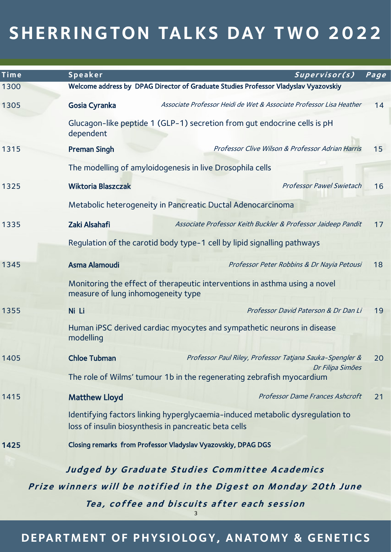| Time                                                             | Speaker                                        | Supervisor(s)                                                                                                                          | Page |  |  |
|------------------------------------------------------------------|------------------------------------------------|----------------------------------------------------------------------------------------------------------------------------------------|------|--|--|
| 1300                                                             |                                                | Welcome address by DPAG Director of Graduate Studies Professor Vladyslav Vyazovskiy                                                    |      |  |  |
| 1305                                                             | Gosia Cyranka                                  | Associate Professor Heidi de Wet & Associate Professor Lisa Heather                                                                    | 14   |  |  |
|                                                                  | dependent                                      | Glucagon-like peptide 1 (GLP-1) secretion from gut endocrine cells is pH                                                               |      |  |  |
| 1315                                                             | <b>Preman Singh</b>                            | Professor Clive Wilson & Professor Adrian Harris                                                                                       | 15   |  |  |
|                                                                  |                                                | The modelling of amyloidogenesis in live Drosophila cells                                                                              |      |  |  |
| 1325                                                             | <b>Wiktoria Blaszczak</b>                      | <b>Professor Pawel Swietach</b>                                                                                                        | 16   |  |  |
|                                                                  |                                                | Metabolic heterogeneity in Pancreatic Ductal Adenocarcinoma                                                                            |      |  |  |
| 1335                                                             | Zaki Alsahafi                                  | Associate Professor Keith Buckler & Professor Jaideep Pandit                                                                           | 17   |  |  |
|                                                                  |                                                | Regulation of the carotid body type-1 cell by lipid signalling pathways                                                                |      |  |  |
| 1345                                                             | <b>Asma Alamoudi</b>                           | Professor Peter Robbins & Dr Nayia Petousi                                                                                             | 18   |  |  |
|                                                                  |                                                | Monitoring the effect of therapeutic interventions in asthma using a novel<br>measure of lung inhomogeneity type                       |      |  |  |
| 1355                                                             | Ni Li                                          | Professor David Paterson & Dr Dan Li                                                                                                   | 19   |  |  |
|                                                                  | modelling                                      | Human iPSC derived cardiac myocytes and sympathetic neurons in disease                                                                 |      |  |  |
| 1405                                                             | <b>Chloe Tubman</b>                            | Professor Paul Riley, Professor Tatjana Sauka-Spengler &                                                                               | 20   |  |  |
|                                                                  |                                                | Dr Filipa Simões<br>The role of Wilms' tumour 1b in the regenerating zebrafish myocardium                                              |      |  |  |
| 1415                                                             | <b>Matthew Lloyd</b>                           | Professor Dame Frances Ashcroft                                                                                                        | 21   |  |  |
|                                                                  |                                                | Identifying factors linking hyperglycaemia-induced metabolic dysregulation to<br>loss of insulin biosynthesis in pancreatic beta cells |      |  |  |
| 1425                                                             |                                                | Closing remarks from Professor Vladyslav Vyazovskiy, DPAG DGS                                                                          |      |  |  |
|                                                                  | Judged by Graduate Studies Committee Academics |                                                                                                                                        |      |  |  |
| Prize winners will be notified in the Digest on Monday 20th June |                                                |                                                                                                                                        |      |  |  |
|                                                                  |                                                | Tea, coffee and biscuits after each session                                                                                            |      |  |  |
|                                                                  |                                                |                                                                                                                                        |      |  |  |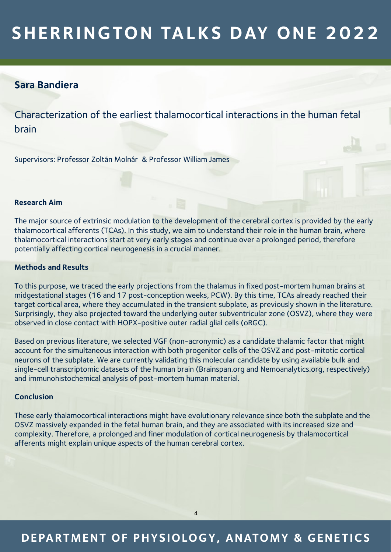## **Sara Bandiera**

Characterization of the earliest thalamocortical interactions in the human fetal brain

Supervisors: Professor Zoltán Molnár & Professor William James

#### **Research Aim**

The major source of extrinsic modulation to the development of the cerebral cortex is provided by the early thalamocortical afferents (TCAs). In this study, we aim to understand their role in the human brain, where thalamocortical interactions start at very early stages and continue over a prolonged period, therefore potentially affecting cortical neurogenesis in a crucial manner.

#### **Methods and Results**

To this purpose, we traced the early projections from the thalamus in fixed post-mortem human brains at midgestational stages (16 and 17 post-conception weeks, PCW). By this time, TCAs already reached their target cortical area, where they accumulated in the transient subplate, as previously shown in the literature. Surprisingly, they also projected toward the underlying outer subventricular zone (OSVZ), where they were observed in close contact with HOPX-positive outer radial glial cells (oRGC).

Based on previous literature, we selected VGF (non-acronymic) as a candidate thalamic factor that might account for the simultaneous interaction with both progenitor cells of the OSVZ and post-mitotic cortical neurons of the subplate. We are currently validating this molecular candidate by using available bulk and single-cell transcriptomic datasets of the human brain (Brainspan.org and Nemoanalytics.org, respectively) and immunohistochemical analysis of post-mortem human material.

#### **Conclusion**

These early thalamocortical interactions might have evolutionary relevance since both the subplate and the OSVZ massively expanded in the fetal human brain, and they are associated with its increased size and complexity. Therefore, a prolonged and finer modulation of cortical neurogenesis by thalamocortical afferents might explain unique aspects of the human cerebral cortex.

## **DEPARTMENT OF PHYSIOLOGY, ANATOMY & GENE TICS**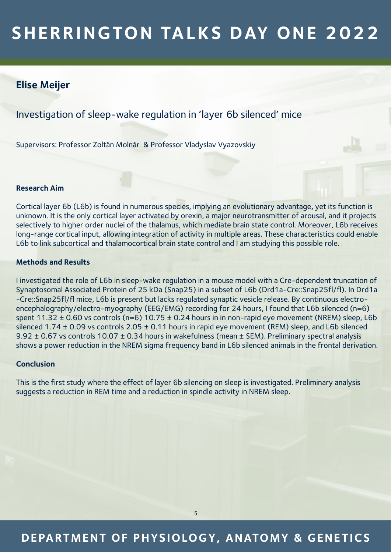## **Elise Meijer**

Investigation of sleep-wake regulation in 'layer 6b silenced' mice

Supervisors: Professor Zoltán Molnár & Professor Vladyslav Vyazovskiy

#### **Research Aim**

Cortical layer 6b (L6b) is found in numerous species, implying an evolutionary advantage, yet its function is unknown. It is the only cortical layer activated by orexin, a major neurotransmitter of arousal, and it projects selectively to higher order nuclei of the thalamus, which mediate brain state control. Moreover, L6b receives long-range cortical input, allowing integration of activity in multiple areas. These characteristics could enable L6b to link subcortical and thalamocortical brain state control and I am studying this possible role.

### **Methods and Results**

I investigated the role of L6b in sleep-wake regulation in a mouse model with a Cre-dependent truncation of Synaptosomal Associated Protein of 25 kDa (Snap25) in a subset of L6b (Drd1a-Cre::Snap25fl/fl). In Drd1a -Cre::Snap25fl/fl mice, L6b is present but lacks regulated synaptic vesicle release. By continuous electroencephalography/electro-myography (EEG/EMG) recording for 24 hours, I found that L6b silenced (n=6) spent 11.32 ± 0.60 vs controls (n=6) 10.75 ± 0.24 hours in in non-rapid eye movement (NREM) sleep, L6b silenced 1.74 ± 0.09 vs controls 2.05 ± 0.11 hours in rapid eye movement (REM) sleep, and L6b silenced 9.92 ± 0.67 vs controls 10.07 ± 0.34 hours in wakefulness (mean ± SEM). Preliminary spectral analysis shows a power reduction in the NREM sigma frequency band in L6b silenced animals in the frontal derivation.

#### **Conclusion**

This is the first study where the effect of layer 6b silencing on sleep is investigated. Preliminary analysis suggests a reduction in REM time and a reduction in spindle activity in NREM sleep.

## **DEPARTMENT OF PHYSIOLOGY, ANATOMY & GENE TICS**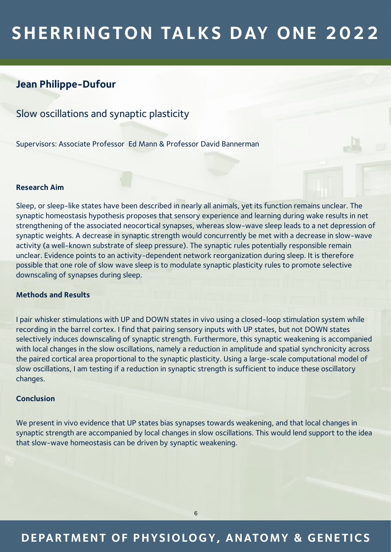## **Jean Philippe-Dufour**

Slow oscillations and synaptic plasticity

Supervisors: Associate Professor Ed Mann & Professor David Bannerman

#### **Research Aim**

Sleep, or sleep-like states have been described in nearly all animals, yet its function remains unclear. The synaptic homeostasis hypothesis proposes that sensory experience and learning during wake results in net strengthening of the associated neocortical synapses, whereas slow-wave sleep leads to a net depression of synaptic weights. A decrease in synaptic strength would concurrently be met with a decrease in slow-wave activity (a well-known substrate of sleep pressure). The synaptic rules potentially responsible remain unclear. Evidence points to an activity-dependent network reorganization during sleep. It is therefore possible that one role of slow wave sleep is to modulate synaptic plasticity rules to promote selective downscaling of synapses during sleep.

### **Methods and Results**

I pair whisker stimulations with UP and DOWN states in vivo using a closed-loop stimulation system while recording in the barrel cortex. I find that pairing sensory inputs with UP states, but not DOWN states selectively induces downscaling of synaptic strength. Furthermore, this synaptic weakening is accompanied with local changes in the slow oscillations, namely a reduction in amplitude and spatial synchronicity across the paired cortical area proportional to the synaptic plasticity. Using a large-scale computational model of slow oscillations, I am testing if a reduction in synaptic strength is sufficient to induce these oscillatory changes.

### **Conclusion**

We present in vivo evidence that UP states bias synapses towards weakening, and that local changes in synaptic strength are accompanied by local changes in slow oscillations. This would lend support to the idea that slow-wave homeostasis can be driven by synaptic weakening.

## **DEPARTMENT OF PHYSIOLOGY, ANATOMY & GENE TICS**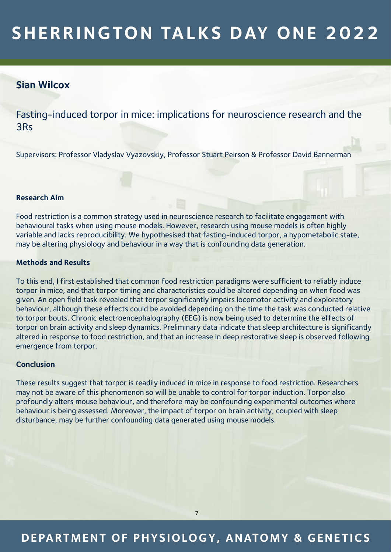### **Sian Wilcox**

Fasting-induced torpor in mice: implications for neuroscience research and the 3Rs

Supervisors: Professor Vladyslav Vyazovskiy, Professor Stuart Peirson & Professor David Bannerman

#### **Research Aim**

Food restriction is a common strategy used in neuroscience research to facilitate engagement with behavioural tasks when using mouse models. However, research using mouse models is often highly variable and lacks reproducibility. We hypothesised that fasting-induced torpor, a hypometabolic state, may be altering physiology and behaviour in a way that is confounding data generation.

#### **Methods and Results**

To this end, I first established that common food restriction paradigms were sufficient to reliably induce torpor in mice, and that torpor timing and characteristics could be altered depending on when food was given. An open field task revealed that torpor significantly impairs locomotor activity and exploratory behaviour, although these effects could be avoided depending on the time the task was conducted relative to torpor bouts. Chronic electroencephalography (EEG) is now being used to determine the effects of torpor on brain activity and sleep dynamics. Preliminary data indicate that sleep architecture is significantly altered in response to food restriction, and that an increase in deep restorative sleep is observed following emergence from torpor.

#### **Conclusion**

These results suggest that torpor is readily induced in mice in response to food restriction. Researchers may not be aware of this phenomenon so will be unable to control for torpor induction. Torpor also profoundly alters mouse behaviour, and therefore may be confounding experimental outcomes where behaviour is being assessed. Moreover, the impact of torpor on brain activity, coupled with sleep disturbance, may be further confounding data generated using mouse models.

## **DEPARTMENT OF PHYSIOLOGY, ANATOMY & GENE TICS**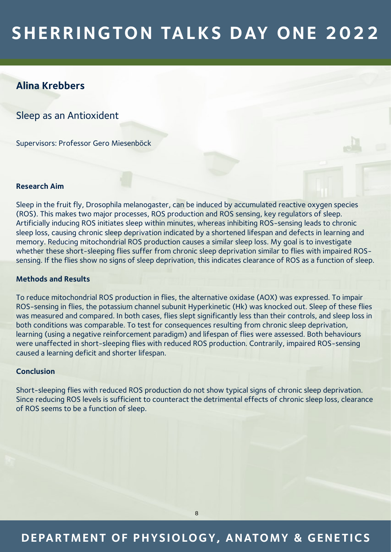## **Alina Krebbers**

Sleep as an Antioxident

Supervisors: Professor Gero Miesenböck

#### **Research Aim**

Sleep in the fruit fly, Drosophila melanogaster, can be induced by accumulated reactive oxygen species (ROS). This makes two major processes, ROS production and ROS sensing, key regulators of sleep. Artificially inducing ROS initiates sleep within minutes, whereas inhibiting ROS-sensing leads to chronic sleep loss, causing chronic sleep deprivation indicated by a shortened lifespan and defects in learning and memory. Reducing mitochondrial ROS production causes a similar sleep loss. My goal is to investigate whether these short-sleeping flies suffer from chronic sleep deprivation similar to flies with impaired ROSsensing. If the flies show no signs of sleep deprivation, this indicates clearance of ROS as a function of sleep.

#### **Methods and Results**

To reduce mitochondrial ROS production in flies, the alternative oxidase (AOX) was expressed. To impair ROS-sensing in flies, the potassium channel subunit Hyperkinetic (Hk) was knocked out. Sleep of these flies was measured and compared. In both cases, flies slept significantly less than their controls, and sleep loss in both conditions was comparable. To test for consequences resulting from chronic sleep deprivation, learning (using a negative reinforcement paradigm) and lifespan of flies were assessed. Both behaviours were unaffected in short-sleeping flies with reduced ROS production. Contrarily, impaired ROS-sensing caused a learning deficit and shorter lifespan.

#### **Conclusion**

Short-sleeping flies with reduced ROS production do not show typical signs of chronic sleep deprivation. Since reducing ROS levels is sufficient to counteract the detrimental effects of chronic sleep loss, clearance of ROS seems to be a function of sleep.

## **DEPARTMENT OF PHYSIOLOGY, ANATOMY & GENE TICS**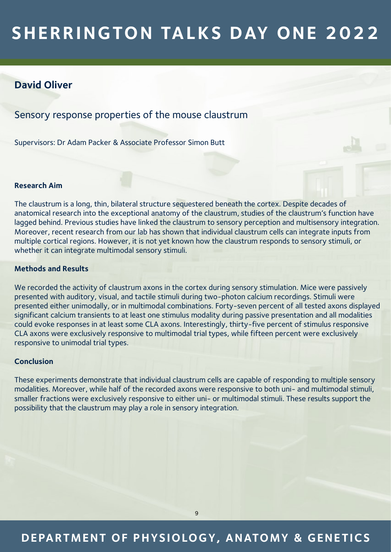### **David Oliver**

Sensory response properties of the mouse claustrum

Supervisors: Dr Adam Packer & Associate Professor Simon Butt

#### **Research Aim**

The claustrum is a long, thin, bilateral structure sequestered beneath the cortex. Despite decades of anatomical research into the exceptional anatomy of the claustrum, studies of the claustrum's function have lagged behind. Previous studies have linked the claustrum to sensory perception and multisensory integration. Moreover, recent research from our lab has shown that individual claustrum cells can integrate inputs from multiple cortical regions. However, it is not yet known how the claustrum responds to sensory stimuli, or whether it can integrate multimodal sensory stimuli.

### **Methods and Results**

We recorded the activity of claustrum axons in the cortex during sensory stimulation. Mice were passively presented with auditory, visual, and tactile stimuli during two-photon calcium recordings. Stimuli were presented either unimodally, or in multimodal combinations. Forty-seven percent of all tested axons displayed significant calcium transients to at least one stimulus modality during passive presentation and all modalities could evoke responses in at least some CLA axons. Interestingly, thirty-five percent of stimulus responsive CLA axons were exclusively responsive to multimodal trial types, while fifteen percent were exclusively responsive to unimodal trial types.

#### **Conclusion**

These experiments demonstrate that individual claustrum cells are capable of responding to multiple sensory modalities. Moreover, while half of the recorded axons were responsive to both uni- and multimodal stimuli, smaller fractions were exclusively responsive to either uni- or multimodal stimuli. These results support the possibility that the claustrum may play a role in sensory integration.

## **DEPARTMENT OF PHYSIOLOGY, ANATOMY & GENE TICS**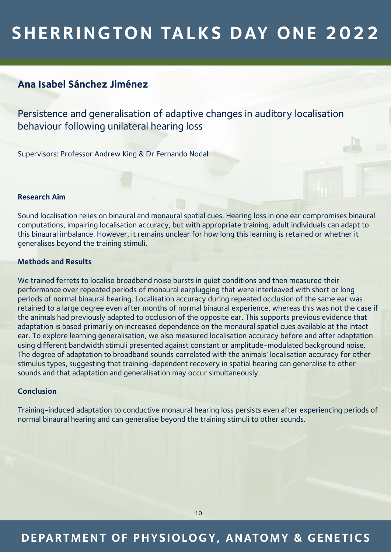## **Ana Isabel Sánchez Jiménez**

Persistence and generalisation of adaptive changes in auditory localisation behaviour following unilateral hearing loss

Supervisors: Professor Andrew King & Dr Fernando Nodal

#### **Research Aim**

Sound localisation relies on binaural and monaural spatial cues. Hearing loss in one ear compromises binaural computations, impairing localisation accuracy, but with appropriate training, adult individuals can adapt to this binaural imbalance. However, it remains unclear for how long this learning is retained or whether it generalises beyond the training stimuli.

#### **Methods and Results**

We trained ferrets to localise broadband noise bursts in quiet conditions and then measured their performance over repeated periods of monaural earplugging that were interleaved with short or long periods of normal binaural hearing. Localisation accuracy during repeated occlusion of the same ear was retained to a large degree even after months of normal binaural experience, whereas this was not the case if the animals had previously adapted to occlusion of the opposite ear. This supports previous evidence that adaptation is based primarily on increased dependence on the monaural spatial cues available at the intact ear. To explore learning generalisation, we also measured localisation accuracy before and after adaptation using different bandwidth stimuli presented against constant or amplitude-modulated background noise. The degree of adaptation to broadband sounds correlated with the animals' localisation accuracy for other stimulus types, suggesting that training-dependent recovery in spatial hearing can generalise to other sounds and that adaptation and generalisation may occur simultaneously.

#### **Conclusion**

Training-induced adaptation to conductive monaural hearing loss persists even after experiencing periods of normal binaural hearing and can generalise beyond the training stimuli to other sounds.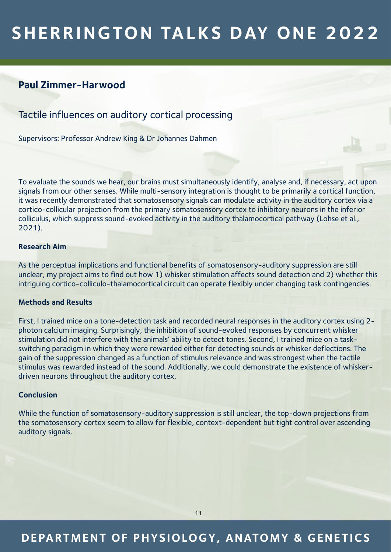## **Paul Zimmer-Harwood**

Tactile influences on auditory cortical processing

Supervisors: Professor Andrew King & Dr Johannes Dahmen

To evaluate the sounds we hear, our brains must simultaneously identify, analyse and, if necessary, act upon signals from our other senses. While multi-sensory integration is thought to be primarily a cortical function, it was recently demonstrated that somatosensory signals can modulate activity in the auditory cortex via a cortico-collicular projection from the primary somatosensory cortex to inhibitory neurons in the inferior colliculus, which suppress sound-evoked activity in the auditory thalamocortical pathway (Lohse et al., 2021).

### **Research Aim**

As the perceptual implications and functional benefits of somatosensory-auditory suppression are still unclear, my project aims to find out how 1) whisker stimulation affects sound detection and 2) whether this intriguing cortico-colliculo-thalamocortical circuit can operate flexibly under changing task contingencies.

#### **Methods and Results**

First, I trained mice on a tone-detection task and recorded neural responses in the auditory cortex using 2 photon calcium imaging. Surprisingly, the inhibition of sound-evoked responses by concurrent whisker stimulation did not interfere with the animals' ability to detect tones. Second, I trained mice on a taskswitching paradigm in which they were rewarded either for detecting sounds or whisker deflections. The gain of the suppression changed as a function of stimulus relevance and was strongest when the tactile stimulus was rewarded instead of the sound. Additionally, we could demonstrate the existence of whiskerdriven neurons throughout the auditory cortex.

#### **Conclusion**

While the function of somatosensory-auditory suppression is still unclear, the top-down projections from the somatosensory cortex seem to allow for flexible, context-dependent but tight control over ascending auditory signals.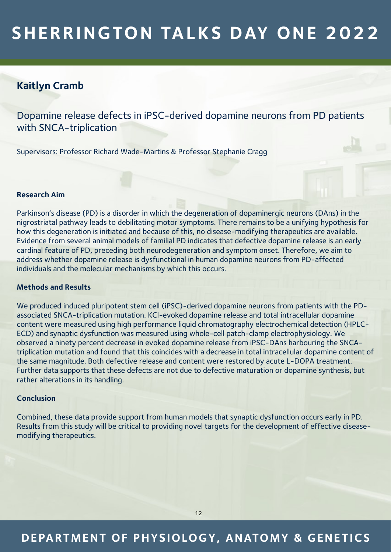## **Kaitlyn Cramb**

Dopamine release defects in iPSC-derived dopamine neurons from PD patients with SNCA-triplication

Supervisors: Professor Richard Wade-Martins & Professor Stephanie Cragg

#### **Research Aim**

Parkinson's disease (PD) is a disorder in which the degeneration of dopaminergic neurons (DAns) in the nigrostriatal pathway leads to debilitating motor symptoms. There remains to be a unifying hypothesis for how this degeneration is initiated and because of this, no disease-modifying therapeutics are available. Evidence from several animal models of familial PD indicates that defective dopamine release is an early cardinal feature of PD, preceding both neurodegeneration and symptom onset. Therefore, we aim to address whether dopamine release is dysfunctional in human dopamine neurons from PD-affected individuals and the molecular mechanisms by which this occurs.

#### **Methods and Results**

We produced induced pluripotent stem cell (iPSC)-derived dopamine neurons from patients with the PDassociated SNCA-triplication mutation. KCl-evoked dopamine release and total intracellular dopamine content were measured using high performance liquid chromatography electrochemical detection (HPLC-ECD) and synaptic dysfunction was measured using whole-cell patch-clamp electrophysiology. We observed a ninety percent decrease in evoked dopamine release from iPSC-DAns harbouring the SNCAtriplication mutation and found that this coincides with a decrease in total intracellular dopamine content of the same magnitude. Both defective release and content were restored by acute L-DOPA treatment. Further data supports that these defects are not due to defective maturation or dopamine synthesis, but rather alterations in its handling.

### **Conclusion**

Combined, these data provide support from human models that synaptic dysfunction occurs early in PD. Results from this study will be critical to providing novel targets for the development of effective diseasemodifying therapeutics.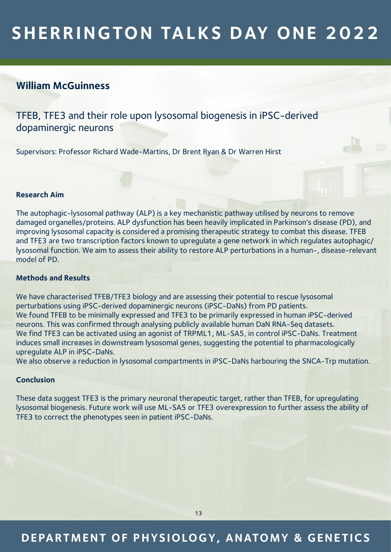## **William McGuinness**

TFEB, TFE3 and their role upon lysosomal biogenesis in iPSC-derived dopaminergic neurons

Supervisors: Professor Richard Wade-Martins, Dr Brent Ryan & Dr Warren Hirst

### **Research Aim**

The autophagic-lysosomal pathway (ALP) is a key mechanistic pathway utilised by neurons to remove damaged organelles/proteins. ALP dysfunction has been heavily implicated in Parkinson's disease (PD), and improving lysosomal capacity is considered a promising therapeutic strategy to combat this disease. TFEB and TFE3 are two transcription factors known to upregulate a gene network in which regulates autophagic/ lysosomal function. We aim to assess their ability to restore ALP perturbations in a human-, disease-relevant model of PD.

#### **Methods and Results**

We have characterised TFEB/TFE3 biology and are assessing their potential to rescue lysosomal perturbations using iPSC-derived dopaminergic neurons (iPSC-DaNs) from PD patients. We found TFEB to be minimally expressed and TFE3 to be primarily expressed in human iPSC-derived neurons. This was confirmed through analysing publicly available human DaN RNA-Seq datasets. We find TFE3 can be activated using an agonist of TRPML1, ML-SA5, in control iPSC-DaNs. Treatment induces small increases in downstream lysosomal genes, suggesting the potential to pharmacologically upregulate ALP in iPSC-DaNs.

We also observe a reduction in lysosomal compartments in iPSC-DaNs harbouring the SNCA-Trp mutation.

#### **Conclusion**

These data suggest TFE3 is the primary neuronal therapeutic target, rather than TFEB, for upregulating lysosomal biogenesis. Future work will use ML-SA5 or TFE3 overexpression to further assess the ability of TFE3 to correct the phenotypes seen in patient iPSC-DaNs.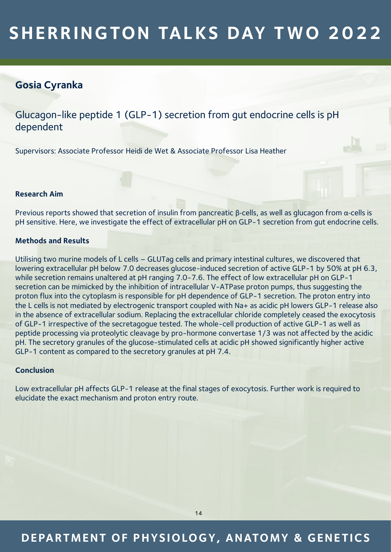## **Gosia Cyranka**

Glucagon-like peptide 1 (GLP-1) secretion from gut endocrine cells is pH dependent

Supervisors: Associate Professor Heidi de Wet & Associate Professor Lisa Heather

#### **Research Aim**

Previous reports showed that secretion of insulin from pancreatic β-cells, as well as glucagon from α-cells is pH sensitive. Here, we investigate the effect of extracellular pH on GLP-1 secretion from gut endocrine cells.

### **Methods and Results**

Utilising two murine models of L cells – GLUTag cells and primary intestinal cultures, we discovered that lowering extracellular pH below 7.0 decreases glucose-induced secretion of active GLP-1 by 50% at pH 6.3, while secretion remains unaltered at pH ranging 7.0-7.6. The effect of low extracellular pH on GLP-1 secretion can be mimicked by the inhibition of intracellular V-ATPase proton pumps, thus suggesting the proton flux into the cytoplasm is responsible for pH dependence of GLP-1 secretion. The proton entry into the L cells is not mediated by electrogenic transport coupled with Na+ as acidic pH lowers GLP-1 release also in the absence of extracellular sodium. Replacing the extracellular chloride completely ceased the exocytosis of GLP-1 irrespective of the secretagogue tested. The whole-cell production of active GLP-1 as well as peptide processing via proteolytic cleavage by pro-hormone convertase 1/3 was not affected by the acidic pH. The secretory granules of the glucose-stimulated cells at acidic pH showed significantly higher active GLP-1 content as compared to the secretory granules at pH 7.4.

#### **Conclusion**

Low extracellular pH affects GLP-1 release at the final stages of exocytosis. Further work is required to elucidate the exact mechanism and proton entry route.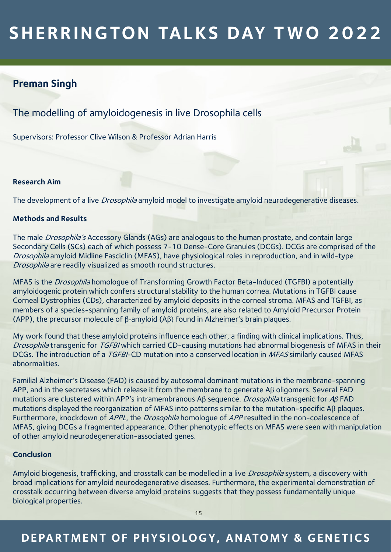## **Preman Singh**

The modelling of amyloidogenesis in live Drosophila cells

Supervisors: Professor Clive Wilson & Professor Adrian Harris

#### **Research Aim**

The development of a live *Drosophila* amyloid model to investigate amyloid neurodegenerative diseases.

### **Methods and Results**

The male *Drosophila's* Accessory Glands (AGs) are analogous to the human prostate, and contain large Secondary Cells (SCs) each of which possess 7-10 Dense-Core Granules (DCGs). DCGs are comprised of the Drosophila amyloid Midline Fasciclin (MFAS), have physiological roles in reproduction, and in wild-type Drosophila are readily visualized as smooth round structures.

MFAS is the Drosophila homologue of Transforming Growth Factor Beta-Induced (TGFBI) a potentially amyloidogenic protein which confers structural stability to the human cornea. Mutations in TGFBI cause Corneal Dystrophies (CDs), characterized by amyloid deposits in the corneal stroma. MFAS and TGFBI, as members of a species-spanning family of amyloid proteins, are also related to Amyloid Precursor Protein (APP), the precursor molecule of β-amyloid (Aβ) found in Alzheimer's brain plaques.

My work found that these amyloid proteins influence each other, a finding with clinical implications. Thus, Drosophila transgenic for TGFBI which carried CD-causing mutations had abnormal biogenesis of MFAS in their DCGs. The introduction of a TGFBI-CD mutation into a conserved location in MFAS similarly caused MFAS abnormalities.

Familial Alzheimer's Disease (FAD) is caused by autosomal dominant mutations in the membrane-spanning APP, and in the secretases which release it from the membrane to generate Aβ oligomers. Several FAD mutations are clustered within APP's intramembranous Aβ sequence. Drosophila transgenic for A*β* FAD mutations displayed the reorganization of MFAS into patterns similar to the mutation-specific Aβ plaques. Furthermore, knockdown of APPL, the Drosophila homologue of APP resulted in the non-coalescence of MFAS, giving DCGs a fragmented appearance. Other phenotypic effects on MFAS were seen with manipulation of other amyloid neurodegeneration-associated genes.

### **Conclusion**

Amyloid biogenesis, trafficking, and crosstalk can be modelled in a live *Drosophila* system, a discovery with broad implications for amyloid neurodegenerative diseases. Furthermore, the experimental demonstration of crosstalk occurring between diverse amyloid proteins suggests that they possess fundamentally unique biological properties.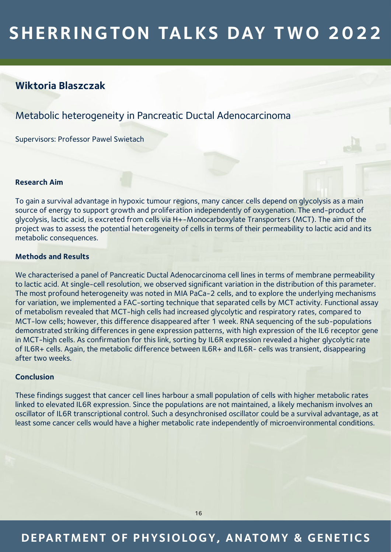## **Wiktoria Blaszczak**

## Metabolic heterogeneity in Pancreatic Ductal Adenocarcinoma

Supervisors: Professor Pawel Swietach

#### **Research Aim**

To gain a survival advantage in hypoxic tumour regions, many cancer cells depend on glycolysis as a main source of energy to support growth and proliferation independently of oxygenation. The end-product of glycolysis, lactic acid, is excreted from cells via H+-Monocarboxylate Transporters (MCT). The aim of the project was to assess the potential heterogeneity of cells in terms of their permeability to lactic acid and its metabolic consequences.

### **Methods and Results**

We characterised a panel of Pancreatic Ductal Adenocarcinoma cell lines in terms of membrane permeability to lactic acid. At single-cell resolution, we observed significant variation in the distribution of this parameter. The most profound heterogeneity was noted in MIA PaCa-2 cells, and to explore the underlying mechanisms for variation, we implemented a FAC-sorting technique that separated cells by MCT activity. Functional assay of metabolism revealed that MCT-high cells had increased glycolytic and respiratory rates, compared to MCT-low cells; however, this difference disappeared after 1 week. RNA sequencing of the sub-populations demonstrated striking differences in gene expression patterns, with high expression of the IL6 receptor gene in MCT-high cells. As confirmation for this link, sorting by IL6R expression revealed a higher glycolytic rate of IL6R+ cells. Again, the metabolic difference between IL6R+ and IL6R- cells was transient, disappearing after two weeks.

### **Conclusion**

These findings suggest that cancer cell lines harbour a small population of cells with higher metabolic rates linked to elevated IL6R expression. Since the populations are not maintained, a likely mechanism involves an oscillator of IL6R transcriptional control. Such a desynchronised oscillator could be a survival advantage, as at least some cancer cells would have a higher metabolic rate independently of microenvironmental conditions.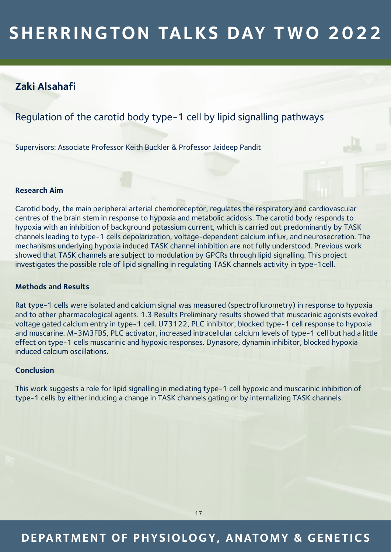## **Zaki Alsahafi**

## Regulation of the carotid body type-1 cell by lipid signalling pathways

Supervisors: Associate Professor Keith Buckler & Professor Jaideep Pandit

### **Research Aim**

Carotid body, the main peripheral arterial chemoreceptor, regulates the respiratory and cardiovascular centres of the brain stem in response to hypoxia and metabolic acidosis. The carotid body responds to hypoxia with an inhibition of background potassium current, which is carried out predominantly by TASK channels leading to type-1 cells depolarization, voltage-dependent calcium influx, and neurosecretion. The mechanisms underlying hypoxia induced TASK channel inhibition are not fully understood. Previous work showed that TASK channels are subject to modulation by GPCRs through lipid signalling. This project investigates the possible role of lipid signalling in regulating TASK channels activity in type-1cell.

#### **Methods and Results**

Rat type-1 cells were isolated and calcium signal was measured (spectroflurometry) in response to hypoxia and to other pharmacological agents. 1.3 Results Preliminary results showed that muscarinic agonists evoked voltage gated calcium entry in type-1 cell. U73122, PLC inhibitor, blocked type-1 cell response to hypoxia and muscarine. M-3M3FBS, PLC activator, increased intracellular calcium levels of type-1 cell but had a little effect on type-1 cells muscarinic and hypoxic responses. Dynasore, dynamin inhibitor, blocked hypoxia induced calcium oscillations.

#### **Conclusion**

This work suggests a role for lipid signalling in mediating type-1 cell hypoxic and muscarinic inhibition of type-1 cells by either inducing a change in TASK channels gating or by internalizing TASK channels.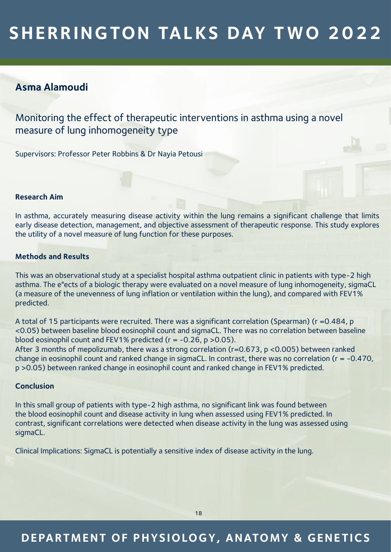## **Asma Alamoudi**

Monitoring the effect of therapeutic interventions in asthma using a novel measure of lung inhomogeneity type

Supervisors: Professor Peter Robbins & Dr Nayia Petousi

#### **Research Aim**

In asthma, accurately measuring disease activity within the lung remains a significant challenge that limits early disease detection, management, and objective assessment of therapeutic response. This study explores the utility of a novel measure of lung function for these purposes.

### **Methods and Results**

This was an observational study at a specialist hospital asthma outpatient clinic in patients with type-2 high asthma. The e"ects of a biologic therapy were evaluated on a novel measure of lung inhomogeneity, sigmaCL (a measure of the unevenness of lung inflation or ventilation within the lung), and compared with FEV1% predicted.

A total of 15 participants were recruited. There was a significant correlation (Spearman) (r =0.484, p <0.05) between baseline blood eosinophil count and sigmaCL. There was no correlation between baseline blood eosinophil count and FEV1% predicted (r = -0.26, p >0.05). After 3 months of mepolizumab, there was a strong correlation (r=0.673, p <0.005) between ranked change in eosinophil count and ranked change in sigmaCL. In contrast, there was no correlation (r = -0.470, p >0.05) between ranked change in eosinophil count and ranked change in FEV1% predicted.

#### **Conclusion**

In this small group of patients with type-2 high asthma, no significant link was found between the blood eosinophil count and disease activity in lung when assessed using FEV1% predicted. In contrast, significant correlations were detected when disease activity in the lung was assessed using sigmaCL.

Clinical Implications: SigmaCL is potentially a sensitive index of disease activity in the lung.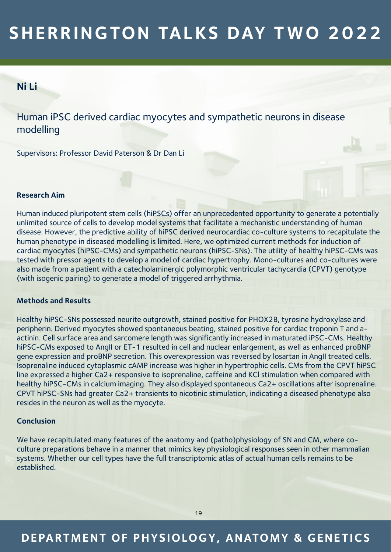## **Ni Li**

Human iPSC derived cardiac myocytes and sympathetic neurons in disease modelling

Supervisors: Professor David Paterson & Dr Dan Li

### **Research Aim**

Human induced pluripotent stem cells (hiPSCs) offer an unprecedented opportunity to generate a potentially unlimited source of cells to develop model systems that facilitate a mechanistic understanding of human disease. However, the predictive ability of hiPSC derived neurocardiac co-culture systems to recapitulate the human phenotype in diseased modelling is limited. Here, we optimized current methods for induction of cardiac myocytes (hiPSC-CMs) and sympathetic neurons (hiPSC-SNs). The utility of healthy hiPSC-CMs was tested with pressor agents to develop a model of cardiac hypertrophy. Mono-cultures and co-cultures were also made from a patient with a catecholaminergic polymorphic ventricular tachycardia (CPVT) genotype (with isogenic pairing) to generate a model of triggered arrhythmia.

### **Methods and Results**

Healthy hiPSC-SNs possessed neurite outgrowth, stained positive for PHOX2B, tyrosine hydroxylase and peripherin. Derived myocytes showed spontaneous beating, stained positive for cardiac troponin T and aactinin. Cell surface area and sarcomere length was significantly increased in maturated iPSC-CMs. Healthy hiPSC-CMs exposed to AngII or ET-1 resulted in cell and nuclear enlargement, as well as enhanced proBNP gene expression and proBNP secretion. This overexpression was reversed by losartan in AngII treated cells. Isoprenaline induced cytoplasmic cAMP increase was higher in hypertrophic cells. CMs from the CPVT hiPSC line expressed a higher Ca2+ responsive to isoprenaline, caffeine and KCl stimulation when compared with healthy hiPSC-CMs in calcium imaging. They also displayed spontaneous Ca2+ oscillations after isoprenaline. CPVT hiPSC-SNs had greater Ca2+ transients to nicotinic stimulation, indicating a diseased phenotype also resides in the neuron as well as the myocyte.

### **Conclusion**

We have recapitulated many features of the anatomy and (patho)physiology of SN and CM, where coculture preparations behave in a manner that mimics key physiological responses seen in other mammalian systems. Whether our cell types have the full transcriptomic atlas of actual human cells remains to be established.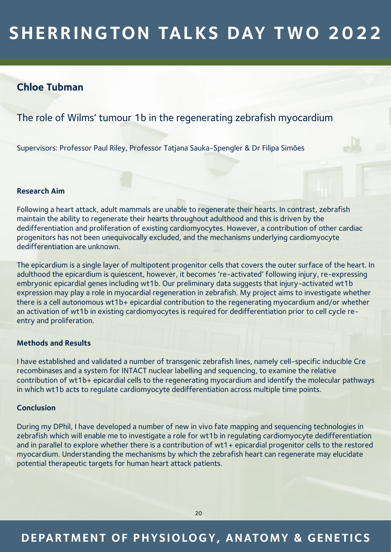### **Chloe Tubman**

### The role of Wilms' tumour 1b in the regenerating zebrafish myocardium

Supervisors: Professor Paul Riley, Professor Tatjana Sauka-Spengler & Dr Filipa Simões

### **Research Aim**

Following a heart attack, adult mammals are unable to regenerate their hearts. In contrast, zebrafish maintain the ability to regenerate their hearts throughout adulthood and this is driven by the dedifferentiation and proliferation of existing cardiomyocytes. However, a contribution of other cardiac progenitors has not been unequivocally excluded, and the mechanisms underlying cardiomyocyte dedifferentiation are unknown.

The epicardium is a single layer of multipotent progenitor cells that covers the outer surface of the heart. In adulthood the epicardium is quiescent, however, it becomes 're-activated' following injury, re-expressing embryonic epicardial genes including wt1b. Our preliminary data suggests that injury-activated wt1b expression may play a role in myocardial regeneration in zebrafish. My project aims to investigate whether there is a cell autonomous wt1b+ epicardial contribution to the regenerating myocardium and/or whether an activation of wt1b in existing cardiomyocytes is required for dedifferentiation prior to cell cycle reentry and proliferation.

### **Methods and Results**

I have established and validated a number of transgenic zebrafish lines, namely cell-specific inducible Cre recombinases and a system for INTACT nuclear labelling and sequencing, to examine the relative contribution of wt1b+ epicardial cells to the regenerating myocardium and identify the molecular pathways in which wt1b acts to regulate cardiomyocyte dedifferentiation across multiple time points.

#### **Conclusion**

During my DPhil, I have developed a number of new in vivo fate mapping and sequencing technologies in zebrafish which will enable me to investigate a role for wt1b in regulating cardiomyocyte dedifferentiation and in parallel to explore whether there is a contribution of wt1+ epicardial progenitor cells to the restored myocardium. Understanding the mechanisms by which the zebrafish heart can regenerate may elucidate potential therapeutic targets for human heart attack patients.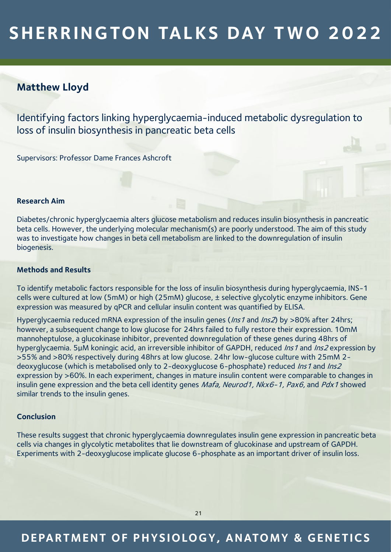## **Matthew Lloyd**

Identifying factors linking hyperglycaemia-induced metabolic dysregulation to loss of insulin biosynthesis in pancreatic beta cells

Supervisors: Professor Dame Frances Ashcroft

#### **Research Aim**

Diabetes/chronic hyperglycaemia alters glucose metabolism and reduces insulin biosynthesis in pancreatic beta cells. However, the underlying molecular mechanism(s) are poorly understood. The aim of this study was to investigate how changes in beta cell metabolism are linked to the downregulation of insulin biogenesis.

### **Methods and Results**

To identify metabolic factors responsible for the loss of insulin biosynthesis during hyperglycaemia, INS-1 cells were cultured at low (5mM) or high (25mM) glucose, ± selective glycolytic enzyme inhibitors. Gene expression was measured by qPCR and cellular insulin content was quantified by ELISA.

Hyperglycaemia reduced mRNA expression of the insulin genes (Ins1 and Ins2) by >80% after 24hrs; however, a subsequent change to low glucose for 24hrs failed to fully restore their expression. 10mM mannoheptulose, a glucokinase inhibitor, prevented downregulation of these genes during 48hrs of hyperglycaemia. 5µM koningic acid, an irreversible inhibitor of GAPDH, reduced *Ins1* and *Ins2* expression by >55% and >80% respectively during 48hrs at low glucose. 24hr low-glucose culture with 25mM 2 deoxyglucose (which is metabolised only to 2-deoxyglucose 6-phosphate) reduced Ins1 and Ins2 expression by >60%. In each experiment, changes in mature insulin content were comparable to changes in insulin gene expression and the beta cell identity genes Mafa, Neurod1, Nkx6-1, Pax6, and Pdx1 showed similar trends to the insulin genes.

#### **Conclusion**

These results suggest that chronic hyperglycaemia downregulates insulin gene expression in pancreatic beta cells via changes in glycolytic metabolites that lie downstream of glucokinase and upstream of GAPDH. Experiments with 2-deoxyglucose implicate glucose 6-phosphate as an important driver of insulin loss.